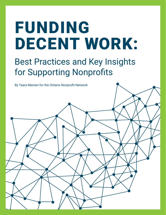# FUNDING DECENT WORK:

Best Practices and Key Insights for Supporting Nonprofits

By Taara Manian for the Ontario Nonprofit Network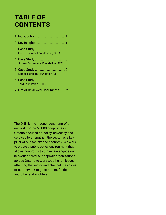## TABLE OF **CONTENTS**

| Lyle S. Hallman Foundation (LSHF)        |  |
|------------------------------------------|--|
| <b>Sussex Community Foundation (SCF)</b> |  |
| Esmée Fairbairn Foundation (EFF)         |  |
|                                          |  |

- Ford Foundation BUILD
- 7. List of Reviewed Documents .... 12

The ONN is the independent nonprofit network for the 58,000 nonprofits in Ontario, focused on policy, advocacy and services to strengthen the sector as a key pillar of our society and economy. We work to create a public policy environment that allows nonprofits to thrive. We engage our network of diverse nonprofit organizations across Ontario to work together on issues affecting the sector and channel the voices of our network to government, funders, and other stakeholders.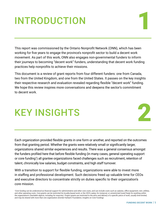## **INTRODUCTION**

This report was commissioned by the Ontario Nonprofit Network (ONN), which has been working for five years to engage the province's nonprofit sector to build a decent work movement. As part of this work, ONN also engages non-governmental funders to inform their journeys to becoming "decent work" funders, understanding that decent work funding practices help nonprofits to achieve their missions.

This document is a review of grant reports from four different funders: one from Canada, two from the United Kingdom, and one from the United States. It passes on the key insights their respective research and evaluation revealed regarding flexible "decent work" funding. We hope this review inspires more conversations and deepens the sector's commitment to decent work.

## KEY INSIGHTS

Each organization provided flexible grants in one form or another, and reported on the outcomes from that granting period. Whether the grants were relatively small or significantly larger, organizations shared similar experiences and results. There was a general consensus amongst the funders profiled here that before flexible funding (in many cases, general operating support or core funding<sup>1</sup>) all grantee organizations faced challenges such as recruitment, retention of talent, chronically low salaries, budget constraints, and high staff turnover.

With a transition to support for flexible funding, organizations were able to invest more in staffing and professional development. Such decisions freed up valuable time for CEOs and executive directors to concentrate strictly on duties specific to their organization's core mission.

*1 Core funding can be understood as financial support for administrative and other core costs, and can include costs such as salaries, office equipment, rent, utilities, and other operating costs. Core grants can be restricted (to locality-based work, or the CEO's salary, for instance), or unrestricted (used freely for anything within the organization's charitable objects, including for reserves). Project grants are restricted to the aims and delivery of a specific piece of work, usually time-limited, and may be shared with more than one organization (Esmée Fairbairn Foundation, Insights on Core Funding).*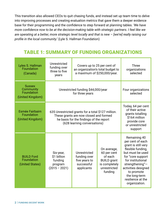This transition also allowed CEOs to quit chasing funds, and instead set up team time to delve into improving processes and creating evaluation metrics that gave them a deeper evidence base for their programming and the confidence to step forward at planning tables. *'We have more confidence now to be at the decision-making table with strategic partners. I feel like we are operating at a better, more strategic level locally and that is new – [we're] really raising our profile in the local community.'* (Lyle S. Hallman Foundation)

### TABLE 1: SUMMARY OF FUNDING ORGANIZATIONS

| Lyles S. Hallman<br>Foundation<br>(Canada)                   | Unrestricted<br>funding over<br>three to five<br>years                                                                                                                  | Covers up to 25 per cent of<br>an organization's total budget to<br>a maximum of \$250,000/year. |                                                                                                         | <b>Three</b><br>organizations<br>selected                                                                                                                                                                                                                    |
|--------------------------------------------------------------|-------------------------------------------------------------------------------------------------------------------------------------------------------------------------|--------------------------------------------------------------------------------------------------|---------------------------------------------------------------------------------------------------------|--------------------------------------------------------------------------------------------------------------------------------------------------------------------------------------------------------------------------------------------------------------|
| <b>Sussex</b><br>Community<br>Foundation<br>(United Kingdom) | Unrestricted funding \$44,000/year<br>for three years                                                                                                                   |                                                                                                  |                                                                                                         | Four organizations<br>selected                                                                                                                                                                                                                               |
| <b>Esmée Fairbairn</b><br>Foundation<br>(United Kingdom)     | 635 Unrestricted grants for a total \$127 million.<br>These grants are now closed and formed<br>he basis for the findings of the report<br>(628 learning conversations) |                                                                                                  |                                                                                                         | Today, 64 per cent<br>of their active<br>grants totalling<br>\$164 million<br>provide core<br>or unrestricted<br>support                                                                                                                                     |
| <b>BUILD Ford</b><br>Foundation<br>(United States)           | Six-year,<br>\$1 billion<br>funding<br>program<br>$(2015 - 2021)$                                                                                                       | Unrestricted<br>funding over<br>five years to<br>successful<br>applicants                        | On average,<br>60 per cent<br>of each<br><b>BUILD</b> grant<br>is completely<br>unrestricted<br>funding | Remaining 40<br>per cent of each<br>grant is still very<br>flexible funding,<br>but must be used<br>for "core support<br>for institutional<br>strengthening" $-$<br>activities designed<br>to promote<br>the long-term<br>resilience at the<br>organization. |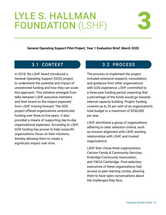## LYLE S. HALLMAN FOUNDATION (LSHF)



**General Operating Support Pilot Project, Year 1 Evaluation Brief, March 2020**

In 2018, the LSHF board introduced a General Operating Support (GOS) project to understand the potential and impact of unrestricted funding and how they can scale this approach. This initiative emerged from talks between LSHF executive members and their board on the impact expected from LSHF moving forward. The GOS project offered organizations unrestricted funding over three to five years. It also provided a means of supporting day-to-day organizational expenses. According to LSHF, GOS funding has proven to help nonprofit organizations focus on their missions, thereby allowing them to create a significant impact over time.

#### 3.1 CONTEXT 3.2 PROCESS

The process to implement the project included extensive research, consultation, and guidance from other organizations with GOS experience. LSHF committed to a three-year funding period, expecting that a percentage of the funds would go towards internal capacity building. Project funding covered up to 25 per cent of an organization's total budget to a maximum of \$250,000 per year.

LSHF shortlisted a group of organizations adhering to clear selection criteria, such as mission alignment with LSHF, existing relationships with LSHF, and trusted organizations.

LSHF then chose three organizations: Carizon Family & Community Services, Kinbridge Community Association, and YWCA Cambridge. Post-selection, executives of these organizations had access to peer learning circles, allowing them to have open conversations about the challenges they face.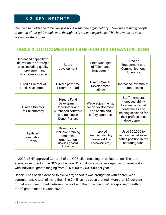#### 3.3 KEY INSIGHTS

*'We used to nickel and dime [key positions within the organization] … Now we are hiring people at the top of our grid, people with the right skill set and experience. This has made us able to live our strategic plan.'*

#### TABLE 2: OUTCOMES FOR LSHF-FUNDED ORGANIZATIONS

| Increased capacity to<br>deliver on the strategic<br>plan, including quality<br>improvement and<br>outcome measurement | <b>Board</b><br>development                                                                                     | <b>Hired Manager</b><br>of Talent and<br>Engagement                           | Hired an<br>Engagement and<br>Communications<br>Supervisor                                                                                       |
|------------------------------------------------------------------------------------------------------------------------|-----------------------------------------------------------------------------------------------------------------|-------------------------------------------------------------------------------|--------------------------------------------------------------------------------------------------------------------------------------------------|
| Hired a Director of<br><b>Fund Development</b>                                                                         | Hired a part-time<br>Programs Lead                                                                              | <b>Hired a Quality</b><br>Development<br>Officer                              | Increased investment<br>in fundraising                                                                                                           |
| <b>Hired a Director</b><br>of Philanthropy                                                                             | Hired a Fund<br>Development<br>Coordinator and<br>purchased software<br>and training in<br><b>Donor Perfect</b> | Wage adjustments,<br>policy development,<br>and health and<br>safety upgrades | <b>Staff members</b><br>increased ability<br>to attend external<br>conferences and<br>training sessions for<br>their professional<br>development |
| Updated<br>evaluation<br>tools                                                                                         | Diversity and<br>inclusion training<br>across the<br>organization<br>(including board<br>of directors)          | Improved<br>financial stability<br>(loan repaid & no<br>cuts to services)     | Used \$60,000 to<br>reduce the net asset<br>deficit position in the<br>operating fund                                                            |

In 2020, LSHF approved Cohort 2 of the GOS pilot, focusing on collaboration. The total annual investment in the GOS pilot is now \$1.9 million across six organizations/networks, with individual grants ranging from \$150,000 to \$500,000 per year.

Cohort 1 has been extended to five years; cohort 2 was brought on with a three-year commitment. A total of more than \$10.7 million has been granted. More than 80 per cent of that was unrestricted, between the pilot and the proactive, COVID-response, "breathing room" grants made in June 2020.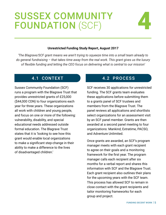## SUSSEX COMMUNITY FOUNDATION (SCF)



#### **Unrestricted Funding Study Report, August 2017**

*'The Blagrave/SCF grant means we aren't trying to squeeze time into a small team already to do general fundraising – that takes time away from the real work. This grant gives us the luxury of flexible funding and letting the CEO focus on delivering what is central to our mission'*

Sussex Community Foundation (SCF) runs a program with the Blagrave Trust that provides unrestricted grants of £25,000 (\$44,000 CDN) to four organizations each year for three years. These organizations all work with children and young people, and focus on one or more of the following: vulnerability, disability, and special educational needs addressed outside formal education. The Blagrave Trust states that it is 'looking to see how this grant would enable local organizations to make a significant step-change in their ability to make a difference to the lives of disadvantaged children.'

#### 4.1 CONTEXT 4.2 PROCESS

SCF receives 30 applications for unrestricted funding. The SCF grants team evaluates these applications before submitting them to a grants panel of SCF trustees and members from the Blagrave Trust. The panel reviews all applications and shortlists select organizations for an assessment visit by an SCF panel member. Grants are then awarded at a second panel meeting to four organizations: Mankind, Extratime, PACSO, and Adventure Unlimited.

Once grants are awarded, an SCF's program manager meets with each grant recipient to agree on their goals and a monitoring framework for the first year. The program manager calls each recipient after six months for a verbal report and shares this information with SCF and the Blagrave Trust. Each grant recipient also outlines their plans for the upcoming years with the SCF team. This process has allowed SCF to remain in close contact with the grant recipients and tailor monitoring frameworks for each group and project.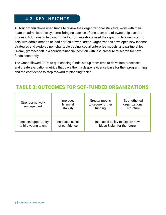#### 4.3 KEY INSIGHTS

All four organizations used funds to review their organizational structure, work with their team on administrative systems, bringing a sense of one team and of ownership over the process. Additionally, two out of the four organizations used their grant to hire new staff to help with administration or lead particular work areas. Organizations developed new income strategies and explored non-charitable trading, social enterprise models, and partnerships. Overall, grantees felt in a sounder financial position with less pressure to search for new funds constantly.

The Grant allowed CEOs to quit chasing funds, set up team time to delve into processes, and create evaluation metrics that gave them a deeper evidence base for their programming and the confidence to step forward at planning tables.

### TABLE 3: OUTCOMES FOR SCF-FUNDED ORGANIZATIONS

| Stronger network<br>engagement | Improved<br>financial<br>stability | <b>Greater means</b><br>to secure further<br>funding | Strengthened<br>organizational<br>structure |
|--------------------------------|------------------------------------|------------------------------------------------------|---------------------------------------------|
| Increased opportunity          | Increased sense                    |                                                      | Increased ability to explore new            |
| to hire young talent           | of confidence                      |                                                      | ideas & plan for the future                 |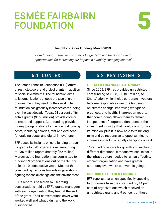# ESMÉE FAIRBAIRN 5



#### **Insights on Core Funding, March 2019**

*'Core funding ... enables us to think longer term and be responsive to opportunities for increasing our impact in a rapidly changing context'*

The Esmée Fairbairn Foundation (EFF) offers unrestricted, core, and project grants, in addition to social investments. The foundation aims to let organizations choose the type of grant or investment they need for their work. The foundation has gradually increased core funding over the past decade. Today, 64 per cent of its active grants (\$163 million) provide core or unrestricted support. Core funding provides money to organizations for their central running costs, including salaries, rent and overhead, fundraising costs, and digital innovations.

EFF bases its insights on core funding through its grants to 320 organizations amounting to £36 million (approximately \$62 million). Moreover, the foundation has committed to funding 39 organizations out of the 320 for at least 10 consecutive years. Most of the core funding has gone towards organizations fighting for social change and the environment.

EFF's report is based on 628 learning conversations held by EFF's grants managers with each organisation they fund at the end of the grant. Their conversations cover what worked well and what didn't, and the work it supported.

#### 5.1 CONTEXT 5.2 KEY INSIGHTS

#### GREATER FINANCIAL AUTONOMY

Since 2005, EFF has provided unrestricted core funding of £588,000 (\$1 million) to ShareAction, which helps corporate investors become responsible investors focusing on climate change, improving workplace practices, and health. ShareAction reports that core funding allows them to remain independent of corporate donations or the investment industry that would compromise its mission, plus it is now able to think longterm and be responsive to opportunities to increase impact in a rapidly changing context:

'Core funding allows for growth and exploring different directions. It means we can invest in the infrastructure needed to run an effective, efficient organization and have greater autonomy over where our work is going'.

#### UNLOCKED FURTHER FUNDING

EFF reports that when specifically speaking to outcomes from the core funding, 14 per cent of organizations which received an unrestricted grant, and 9 per cent of those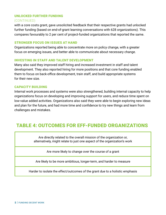#### UNLOCKED FURTHER FUNDING (CONTINUED)

#### with a core costs grant, gave unsolicited feedback that their respective grants had unlocked further funding (based on end-of-grant learning conversations with 628 organizations). This compares favourably to 2 per cent of project-funded organizations that reported the same.

#### STRONGER FOCUS ON ISSUES AT HAND

Organizations reported being able to concentrate more on policy change, with a greater focus on emerging issues, and better able to communicate about necessary change.

#### INVESTING IN STAFF AND TALENT DEVELOPMENT

Many also said they improved staff hiring and increased investment in staff and talent development. They also reported hiring for more positions and that core funding enabled them to focus on back-office development, train staff, and build appropriate systems for their new size.

#### CAPACITY BUILDING

Internal work processes and systems were also strengthened, building internal capacity to help organizations focus on developing and improving support for users, and reduce time spent on low-value added activities. Organizations also said they were able to begin exploring new ideas and plan for the future, and had more time and confidence to try new things and learn from challenges and mistakes.

#### TABLE 4: OUTCOMES FOR EFF-FUNDED ORGANIZATIONS

Are directly related to the overall mission of the organization or, alternatively, might relate to just one aspect of the organization's work

Are more likely to change over the course of a grant

Are likely to be more ambitious, longer-term, and harder to measure

Harder to isolate the effect/outcomes of the grant due to a holistic emphasis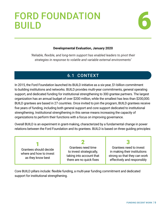# FORD FOUNDATION 6



#### **Developmental Evaluation, January 2020**

*'Reliable, flexible, and long-term support has enabled leaders to pivot their strategies in response to volatile and variable external environments'*

#### 6.1 CONTEXT

In 2015, the Ford Foundation launched its BUILD initiative as a six-year, \$1-billion commitment to building institutions and networks. BUILD provides multi-year commitments, general operating support, and dedicated funding for institutional strengthening to 300 grantee partners. The largest organization has an annual budget of over \$200 million, while the smallest has less than \$200,000. BUILD grantees are based in 27 countries. Once invited to join the program, BUILD grantees receive five years of funding, including both general support and core support dedicated to institutional strengthening. Institutional strengthening in this sense means increasing the capacity of organizations to perform their functions with a focus on improving governance.

Overall BUILD is an experiment in grant-making, characterized by a fundamental change in power relations between the Ford Foundation and its grantees. BUILD is based on three guiding principles:

| Grantees should decide<br>where and how to invest<br>as they know best | Grantees need time<br>to invest strategically,<br>taking into account that<br>there are no quick fixes | Grantees need to invest<br>in making their institutions<br>strong so that they can work<br>effectively and responsibly |
|------------------------------------------------------------------------|--------------------------------------------------------------------------------------------------------|------------------------------------------------------------------------------------------------------------------------|

Core BUILD pillars include: flexible funding, a multi-year funding commitment and dedicated support for institutional strengthening.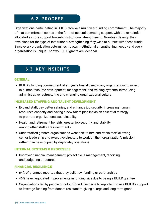#### 6.2 PROCESS

Organizations participating in BUILD receive a multi-year funding commitment. The majority of that commitment comes in the form of general operating support, with the remainder allocated as core support towards institutional strengthening. Grantees develop their own plans for the type of institutional strengthening they wish to pursue with these funds. Since every organization determines its own institutional strengthening needs - and every organization is unique - no two BUILD grants are identical.

#### 6.3 KEY INSIGHTS

#### GENERAL

• BUILD's funding commitment of six years has allowed many organizations to invest in human resource development, management, and training systems, introducing administrative restructuring and changing organizational culture.

#### INCREASED STAFFING AND TALENT DEVELOPMENT

- Expand staff, pay better salaries, and enhance job security, increasing human resources capacity and having a new talent pipeline as an essential strategy to promote organizational sustainability
- Health and retirement benefits, greater job security, and stability, among other staff care investments
- Understaffed grantee organizations were able to hire and retain staff allowing senior leadership and executive directors to work on their organization's mission, rather than be occupied by day-to-day operations

#### INTERNAL SYSTEMS & PROCESSES

• Improved financial management, project cycle management, reporting, and budgeting structures

#### FINANCIAL RESILIENCE

- 64% of grantees reported that they built new funding or partnerships
- 46% have negotiated improvements in funding size due to being a BUILD grantee
- Organizations led by people of colour found it especially important to use BUILD's support to leverage funding from donors resistant to giving a large and long-term grant.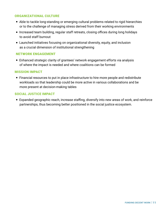#### ORGANIZATIONAL CULTURE

- Able to tackle long-standing or emerging cultural problems related to rigid hierarchies or to the challenge of managing stress derived from their working environments
- Increased team building, regular staff retreats, closing offices during long holidays to avoid staff burnout
- Launched initiatives focusing on organizational diversity, equity, and inclusion as a crucial dimension of institutional strengthening

#### NETWORK ENGAGEMENT

• Enhanced strategic clarity of grantees' network engagement efforts via analysis of where the impact is needed and where coalitions can be formed

#### MISSION IMPACT

• Financial resources to put in place infrastructure to hire more people and redistribute workloads so that leadership could be more active in various collaborations and be more present at decision-making tables

#### SOCIAL JUSTICE IMPACT

• Expanded geographic reach, increase staffing, diversify into new areas of work, and reinforce partnerships, thus becoming better positioned in the social justice ecosystem.